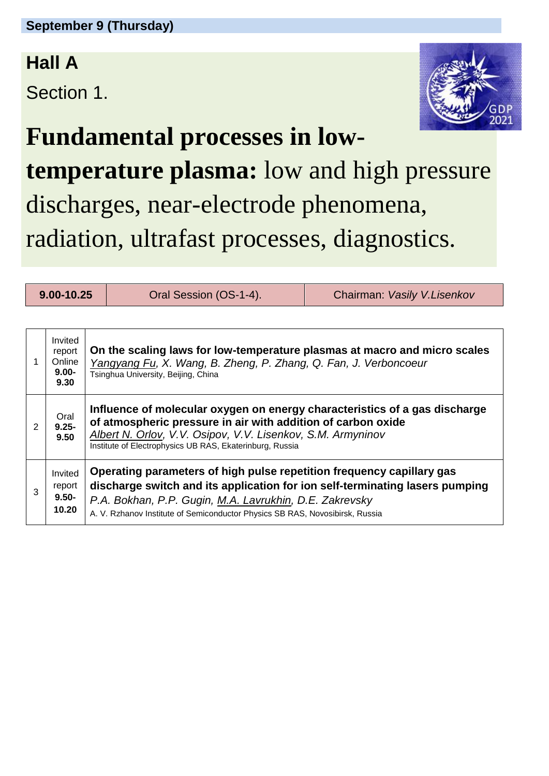### **Hall A**

Section 1.



## **Fundamental processes in low-**

**temperature plasma:** low and high pressure discharges, near-electrode phenomena, radiation, ultrafast processes, diagnostics.

| 9.00-10.25    |                                                                                                                                                                                                                                                                                                                                            |                                                                                                                                                                                                                                                                       | Oral Session (OS-1-4). | Chairman: Vasily V.Lisenkov |  |  |  |  |
|---------------|--------------------------------------------------------------------------------------------------------------------------------------------------------------------------------------------------------------------------------------------------------------------------------------------------------------------------------------------|-----------------------------------------------------------------------------------------------------------------------------------------------------------------------------------------------------------------------------------------------------------------------|------------------------|-----------------------------|--|--|--|--|
|               |                                                                                                                                                                                                                                                                                                                                            |                                                                                                                                                                                                                                                                       |                        |                             |  |  |  |  |
|               | Invited<br>report<br>Online<br>$9.00 -$<br>9.30                                                                                                                                                                                                                                                                                            | On the scaling laws for low-temperature plasmas at macro and micro scales<br>Yangyang Fu, X. Wang, B. Zheng, P. Zhang, Q. Fan, J. Verboncoeur<br>Tsinghua University, Beijing, China                                                                                  |                        |                             |  |  |  |  |
| $\mathcal{P}$ | Oral<br>$9.25 -$<br>9.50                                                                                                                                                                                                                                                                                                                   | Influence of molecular oxygen on energy characteristics of a gas discharge<br>of atmospheric pressure in air with addition of carbon oxide<br>Albert N. Orlov, V.V. Osipov, V.V. Lisenkov, S.M. Armyninov<br>Institute of Electrophysics UB RAS, Ekaterinburg, Russia |                        |                             |  |  |  |  |
| 3             | Operating parameters of high pulse repetition frequency capillary gas<br>Invited<br>discharge switch and its application for ion self-terminating lasers pumping<br>report<br>$9.50 -$<br>P.A. Bokhan, P.P. Gugin, M.A. Lavrukhin, D.E. Zakrevsky<br>10.20<br>A. V. Rzhanov Institute of Semiconductor Physics SB RAS, Novosibirsk, Russia |                                                                                                                                                                                                                                                                       |                        |                             |  |  |  |  |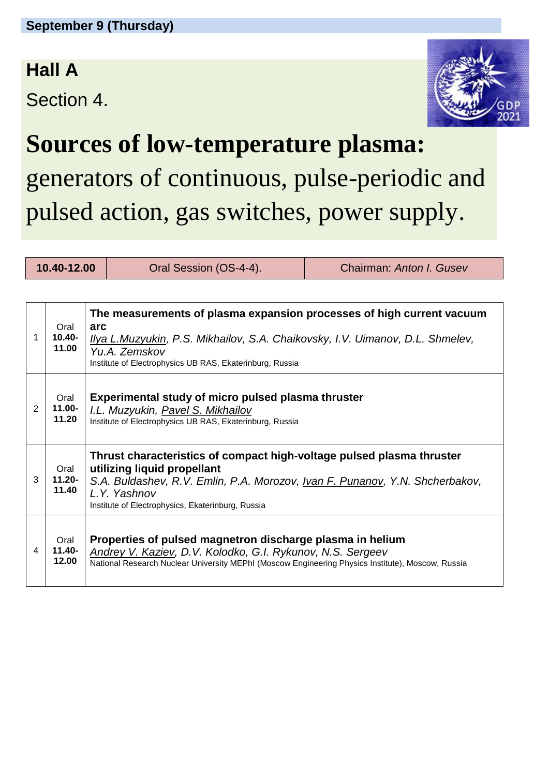### **Hall A**

Section 4.



## **Sources of low-temperature plasma:**

generators of continuous, pulse-periodic and pulsed action, gas switches, power supply.

**10.40-12.00** Oral Session (OS-4-4). Chairman: *Anton I. Gusev* 

| 1 | Oral<br>10.40-<br>11.00    | The measurements of plasma expansion processes of high current vacuum<br>arc<br><u>Ilya L.Muzyukin, P.S. Mikhailov, S.A. Chaikovsky, I.V. Uimanov, D.L. Shmelev,</u><br>Yu.A. Zemskov<br>Institute of Electrophysics UB RAS, Ekaterinburg, Russia                 |  |
|---|----------------------------|-------------------------------------------------------------------------------------------------------------------------------------------------------------------------------------------------------------------------------------------------------------------|--|
| 2 | Oral<br>11.00-<br>11.20    | Experimental study of micro pulsed plasma thruster<br>I.L. Muzyukin, Pavel S. Mikhailov<br>Institute of Electrophysics UB RAS, Ekaterinburg, Russia                                                                                                               |  |
| 3 | Oral<br>11.20-<br>11.40    | Thrust characteristics of compact high-voltage pulsed plasma thruster<br>utilizing liquid propellant<br>S.A. Buldashev, R.V. Emlin, P.A. Morozov, <u>Ivan F. Punanov</u> , Y.N. Shcherbakov,<br>L.Y. Yashnov<br>Institute of Electrophysics, Ekaterinburg, Russia |  |
| 4 | Oral<br>$11.40 -$<br>12.00 | Properties of pulsed magnetron discharge plasma in helium<br>Andrey V. Kaziev, D.V. Kolodko, G.I. Rykunov, N.S. Sergeev<br>National Research Nuclear University MEPhI (Moscow Engineering Physics Institute), Moscow, Russia                                      |  |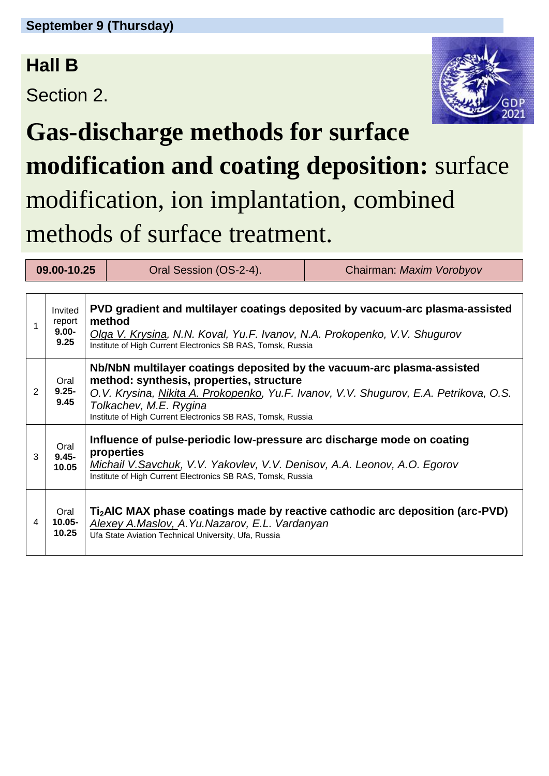## **Hall B**

Section 2.



# **Gas-discharge methods for surface modification and coating deposition:** surface modification, ion implantation, combined methods of surface treatment.

| 09.00-10.25 |                                       |                                                                                                                                                                                                                                    | Oral Session (OS-2-4).                                                                                                                                                                                                                                                                               | Chairman: Maxim Vorobyov                                                                  |  |  |  |  |
|-------------|---------------------------------------|------------------------------------------------------------------------------------------------------------------------------------------------------------------------------------------------------------------------------------|------------------------------------------------------------------------------------------------------------------------------------------------------------------------------------------------------------------------------------------------------------------------------------------------------|-------------------------------------------------------------------------------------------|--|--|--|--|
|             |                                       |                                                                                                                                                                                                                                    |                                                                                                                                                                                                                                                                                                      |                                                                                           |  |  |  |  |
| 1           | Invited<br>report<br>$9.00 -$<br>9.25 | PVD gradient and multilayer coatings deposited by vacuum-arc plasma-assisted<br>method<br>Olga V. Krysina, N.N. Koval, Yu.F. Ivanov, N.A. Prokopenko, V.V. Shugurov<br>Institute of High Current Electronics SB RAS, Tomsk, Russia |                                                                                                                                                                                                                                                                                                      |                                                                                           |  |  |  |  |
| 2           | Oral<br>$9.25 -$<br>9.45              |                                                                                                                                                                                                                                    | Nb/NbN multilayer coatings deposited by the vacuum-arc plasma-assisted<br>method: synthesis, properties, structure<br>O.V. Krysina, Nikita A. Prokopenko, Yu.F. Ivanov, V.V. Shugurov, E.A. Petrikova, O.S.<br>Tolkachev, M.E. Rygina<br>Institute of High Current Electronics SB RAS, Tomsk, Russia |                                                                                           |  |  |  |  |
| 3           | Oral<br>$9.45 -$<br>10.05             | Influence of pulse-periodic low-pressure arc discharge mode on coating<br>properties<br>Michail V.Savchuk, V.V. Yakovlev, V.V. Denisov, A.A. Leonov, A.O. Egorov<br>Institute of High Current Electronics SB RAS, Tomsk, Russia    |                                                                                                                                                                                                                                                                                                      |                                                                                           |  |  |  |  |
| 4           | Oral<br>$10.05 -$<br>10.25            |                                                                                                                                                                                                                                    | Alexey A.Maslov, A.Yu.Nazarov, E.L. Vardanyan<br>Ufa State Aviation Technical University, Ufa, Russia                                                                                                                                                                                                | Ti <sub>2</sub> AIC MAX phase coatings made by reactive cathodic arc deposition (arc-PVD) |  |  |  |  |